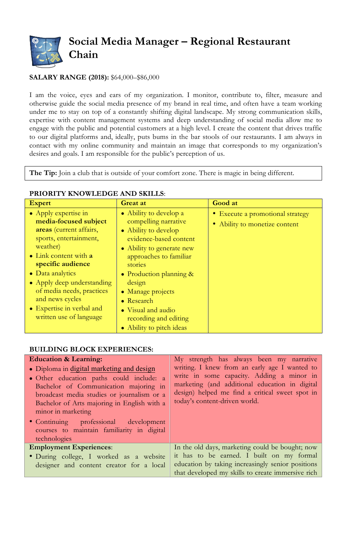

## **SALARY RANGE (2018):** \$64,000–\$86,000

I am the voice, eyes and ears of my organization. I monitor, contribute to, filter, measure and otherwise guide the social media presence of my brand in real time, and often have a team working under me to stay on top of a constantly shifting digital landscape. My strong communication skills, expertise with content management systems and deep understanding of social media allow me to engage with the public and potential customers at a high level. I create the content that drives traffic to our digital platforms and, ideally, puts bums in the bar stools of our restaurants. I am always in contact with my online community and maintain an image that corresponds to my organization's desires and goals. I am responsible for the public's perception of us.

**The Tip:** Join a club that is outside of your comfort zone. There is magic in being different.

| <b>Expert</b>                                                                                                                                                                                                                                                                                                                  | <b>Great at</b>                                                                                                                                                                                                                                                                                                                  | Good at                                                              |
|--------------------------------------------------------------------------------------------------------------------------------------------------------------------------------------------------------------------------------------------------------------------------------------------------------------------------------|----------------------------------------------------------------------------------------------------------------------------------------------------------------------------------------------------------------------------------------------------------------------------------------------------------------------------------|----------------------------------------------------------------------|
| • Apply expertise in<br>media-focused subject<br>areas (current affairs,<br>sports, entertainment,<br>weather)<br>• Link content with a<br>specific audience<br>$\bullet$ Data analytics<br>• Apply deep understanding<br>of media needs, practices<br>and news cycles<br>• Expertise in verbal and<br>written use of language | • Ability to develop a<br>compelling narrative<br>• Ability to develop<br>evidence-based content<br>• Ability to generate new<br>approaches to familiar<br>stories<br>• Production planning $\&$<br>design<br>• Manage projects<br>$\bullet$ Research<br>• Visual and audio<br>recording and editing<br>• Ability to pitch ideas | • Execute a promotional strategy<br>Ability to monetize content<br>۰ |

## **PRIORITY KNOWLEDGE AND SKILLS**:

## **BUILDING BLOCK EXPERIENCES:**

| <b>Education &amp; Learning:</b>                                                                                                                                                                                                                                                                                                         | My strength has always been my narrative                                                                                                                                                                                         |
|------------------------------------------------------------------------------------------------------------------------------------------------------------------------------------------------------------------------------------------------------------------------------------------------------------------------------------------|----------------------------------------------------------------------------------------------------------------------------------------------------------------------------------------------------------------------------------|
| • Diploma in digital marketing and design<br>• Other education paths could include: a<br>Bachelor of Communication majoring in<br>broadcast media studies or journalism or a<br>Bachelor of Arts majoring in English with a<br>minor in marketing<br>• Continuing professional development<br>courses to maintain familiarity in digital | writing. I knew from an early age I wanted to<br>write in some capacity. Adding a minor in<br>marketing (and additional education in digital<br>design) helped me find a critical sweet spot in<br>today's content-driven world. |
| technologies                                                                                                                                                                                                                                                                                                                             |                                                                                                                                                                                                                                  |
| <b>Employment Experiences:</b>                                                                                                                                                                                                                                                                                                           | In the old days, marketing could be bought; now                                                                                                                                                                                  |
| • During college, I worked as a website                                                                                                                                                                                                                                                                                                  | it has to be earned. I built on my formal                                                                                                                                                                                        |
| designer and content creator for a local                                                                                                                                                                                                                                                                                                 | education by taking increasingly senior positions                                                                                                                                                                                |
|                                                                                                                                                                                                                                                                                                                                          | that developed my skills to create immersive rich                                                                                                                                                                                |